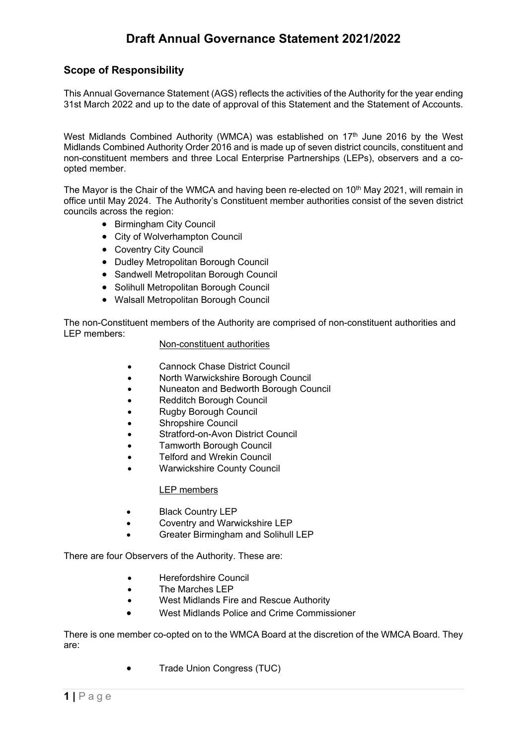## **Scope of Responsibility**

This Annual Governance Statement (AGS) reflects the activities of the Authority for the year ending 31st March 2022 and up to the date of approval of this Statement and the Statement of Accounts.

West Midlands Combined Authority (WMCA) was established on 17<sup>th</sup> June 2016 by the West Midlands Combined Authority Order 2016 and is made up of seven district councils, constituent and non-constituent members and three Local Enterprise Partnerships (LEPs), observers and a coopted member.

The Mayor is the Chair of the WMCA and having been re-elected on 10<sup>th</sup> May 2021, will remain in office until May 2024. The Authority's Constituent member authorities consist of the seven district councils across the region:

- Birmingham City Council
- City of Wolverhampton Council
- Coventry City Council
- Dudley Metropolitan Borough Council
- Sandwell Metropolitan Borough Council
- Solihull Metropolitan Borough Council
- Walsall Metropolitan Borough Council

The non-Constituent members of the Authority are comprised of non-constituent authorities and LEP members:

## Non-constituent authorities

- Cannock Chase District Council
- North Warwickshire Borough Council
- Nuneaton and Bedworth Borough Council
- Redditch Borough Council
- Rugby Borough Council
- Shropshire Council
- Stratford-on-Avon District Council
- Tamworth Borough Council
- Telford and Wrekin Council
- Warwickshire County Council

## LEP members

- Black Country LEP
- Coventry and Warwickshire LEP
- Greater Birmingham and Solihull LEP

There are four Observers of the Authority. These are:

- Herefordshire Council
- The Marches LEP
- West Midlands Fire and Rescue Authority
- West Midlands Police and Crime Commissioner

There is one member co-opted on to the WMCA Board at the discretion of the WMCA Board. They are:

• Trade Union Congress (TUC)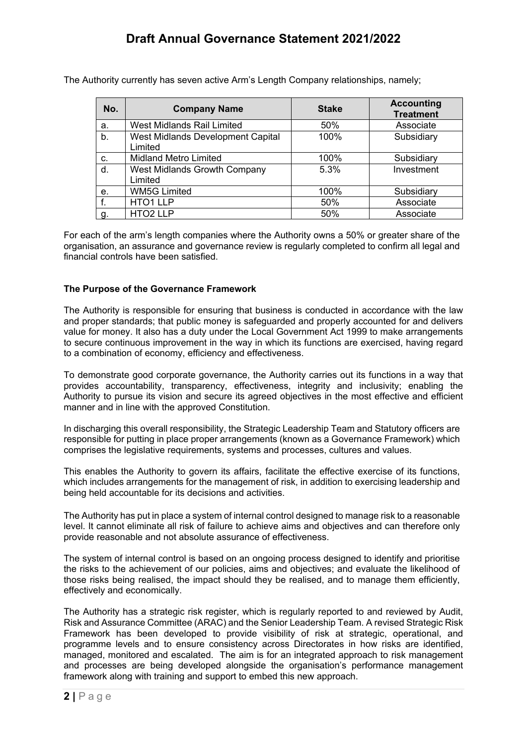The Authority currently has seven active Arm's Length Company relationships, namely;

| No. | <b>Company Name</b>                            | <b>Stake</b> | <b>Accounting</b><br><b>Treatment</b> |
|-----|------------------------------------------------|--------------|---------------------------------------|
| a.  | <b>West Midlands Rail Limited</b>              | 50%          | Associate                             |
| b.  | West Midlands Development Capital<br>Limited   | 100%         | Subsidiary                            |
| c.  | <b>Midland Metro Limited</b>                   | 100%         | Subsidiary                            |
| d.  | <b>West Midlands Growth Company</b><br>Limited | 5.3%         | Investment                            |
| е.  | <b>WM5G Limited</b>                            | 100%         | Subsidiary                            |
|     | HTO1 LLP                                       | 50%          | Associate                             |
| g.  | HTO <sub>2</sub> LLP                           | 50%          | Associate                             |

For each of the arm's length companies where the Authority owns a 50% or greater share of the organisation, an assurance and governance review is regularly completed to confirm all legal and financial controls have been satisfied.

## **The Purpose of the Governance Framework**

The Authority is responsible for ensuring that business is conducted in accordance with the law and proper standards; that public money is safeguarded and properly accounted for and delivers value for money. It also has a duty under the Local Government Act 1999 to make arrangements to secure continuous improvement in the way in which its functions are exercised, having regard to a combination of economy, efficiency and effectiveness.

To demonstrate good corporate governance, the Authority carries out its functions in a way that provides accountability, transparency, effectiveness, integrity and inclusivity; enabling the Authority to pursue its vision and secure its agreed objectives in the most effective and efficient manner and in line with the approved Constitution.

In discharging this overall responsibility, the Strategic Leadership Team and Statutory officers are responsible for putting in place proper arrangements (known as a Governance Framework) which comprises the legislative requirements, systems and processes, cultures and values.

This enables the Authority to govern its affairs, facilitate the effective exercise of its functions, which includes arrangements for the management of risk, in addition to exercising leadership and being held accountable for its decisions and activities.

The Authority has put in place a system of internal control designed to manage risk to a reasonable level. It cannot eliminate all risk of failure to achieve aims and objectives and can therefore only provide reasonable and not absolute assurance of effectiveness.

The system of internal control is based on an ongoing process designed to identify and prioritise the risks to the achievement of our policies, aims and objectives; and evaluate the likelihood of those risks being realised, the impact should they be realised, and to manage them efficiently, effectively and economically.

The Authority has a strategic risk register, which is regularly reported to and reviewed by Audit, Risk and Assurance Committee (ARAC) and the Senior Leadership Team. A revised Strategic Risk Framework has been developed to provide visibility of risk at strategic, operational, and programme levels and to ensure consistency across Directorates in how risks are identified, managed, monitored and escalated. The aim is for an integrated approach to risk management and processes are being developed alongside the organisation's performance management framework along with training and support to embed this new approach.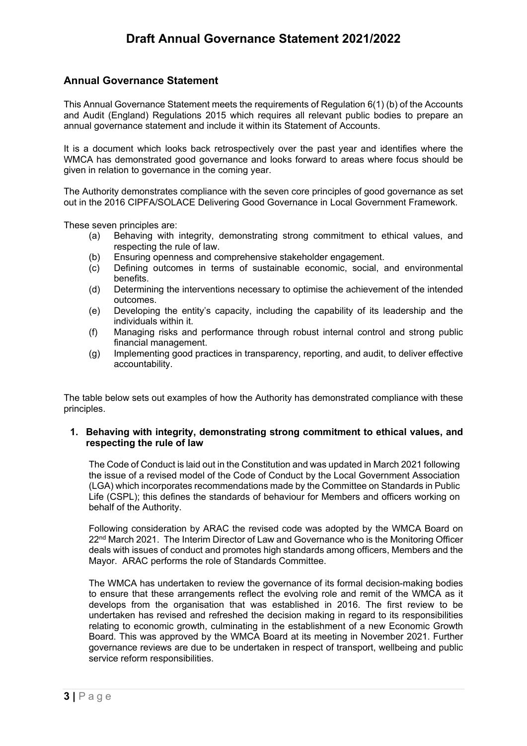## **Annual Governance Statement**

This Annual Governance Statement meets the requirements of Regulation 6(1) (b) of the Accounts and Audit (England) Regulations 2015 which requires all relevant public bodies to prepare an annual governance statement and include it within its Statement of Accounts.

It is a document which looks back retrospectively over the past year and identifies where the WMCA has demonstrated good governance and looks forward to areas where focus should be given in relation to governance in the coming year.

The Authority demonstrates compliance with the seven core principles of good governance as set out in the 2016 CIPFA/SOLACE Delivering Good Governance in Local Government Framework.

These seven principles are:

- (a) Behaving with integrity, demonstrating strong commitment to ethical values, and respecting the rule of law.
- (b) Ensuring openness and comprehensive stakeholder engagement.
- (c) Defining outcomes in terms of sustainable economic, social, and environmental benefits.
- (d) Determining the interventions necessary to optimise the achievement of the intended outcomes.
- (e) Developing the entity's capacity, including the capability of its leadership and the individuals within it.
- (f) Managing risks and performance through robust internal control and strong public financial management.
- (g) Implementing good practices in transparency, reporting, and audit, to deliver effective accountability.

The table below sets out examples of how the Authority has demonstrated compliance with these principles.

#### **1. Behaving with integrity, demonstrating strong commitment to ethical values, and respecting the rule of law**

The Code of Conduct is laid out in the Constitution and was updated in March 2021 following the issue of a revised model of the Code of Conduct by the Local Government Association (LGA) which incorporates recommendations made by the Committee on Standards in Public Life (CSPL); this defines the standards of behaviour for Members and officers working on behalf of the Authority.

Following consideration by ARAC the revised code was adopted by the WMCA Board on 22nd March 2021. The Interim Director of Law and Governance who is the Monitoring Officer deals with issues of conduct and promotes high standards among officers, Members and the Mayor. ARAC performs the role of Standards Committee.

The WMCA has undertaken to review the governance of its formal decision-making bodies to ensure that these arrangements reflect the evolving role and remit of the WMCA as it develops from the organisation that was established in 2016. The first review to be undertaken has revised and refreshed the decision making in regard to its responsibilities relating to economic growth, culminating in the establishment of a new Economic Growth Board. This was approved by the WMCA Board at its meeting in November 2021. Further governance reviews are due to be undertaken in respect of transport, wellbeing and public service reform responsibilities.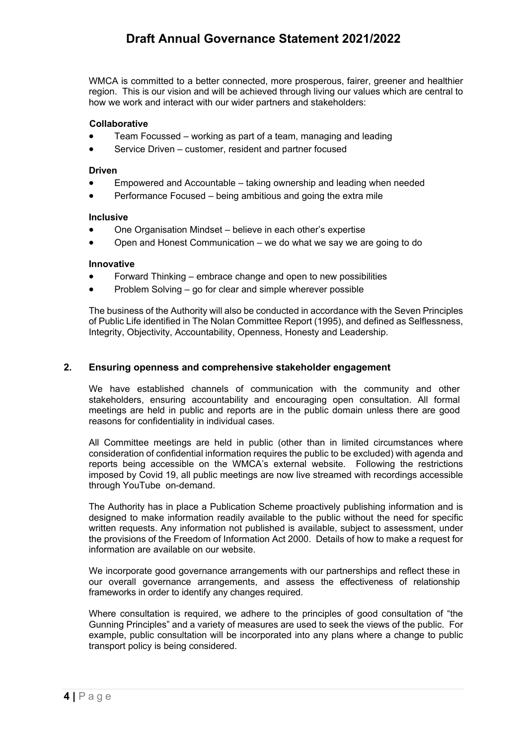WMCA is committed to a better connected, more prosperous, fairer, greener and healthier region. This is our vision and will be achieved through living our values which are central to how we work and interact with our wider partners and stakeholders:

#### **Collaborative**

- Team Focussed working as part of a team, managing and leading
- Service Driven customer, resident and partner focused

#### **Driven**

- Empowered and Accountable taking ownership and leading when needed
- Performance Focused being ambitious and going the extra mile

#### **Inclusive**

- One Organisation Mindset believe in each other's expertise
- Open and Honest Communication we do what we say we are going to do

#### **Innovative**

- Forward Thinking embrace change and open to new possibilities
- Problem Solving go for clear and simple wherever possible

The business of the Authority will also be conducted in accordance with the Seven Principles of Public Life identified in The Nolan Committee Report (1995), and defined as Selflessness, Integrity, Objectivity, Accountability, Openness, Honesty and Leadership.

### **2. Ensuring openness and comprehensive stakeholder engagement**

We have established channels of communication with the community and other stakeholders, ensuring accountability and encouraging open consultation. All formal meetings are held in public and reports are in the public domain unless there are good reasons for confidentiality in individual cases.

All Committee meetings are held in public (other than in limited circumstances where consideration of confidential information requires the public to be excluded) with agenda and reports being accessible on the WMCA's external website. Following the restrictions imposed by Covid 19, all public meetings are now live streamed with recordings accessible through YouTube on-demand.

The Authority has in place a Publication Scheme proactively publishing information and is designed to make information readily available to the public without the need for specific written requests. Any information not published is available, subject to assessment, under the provisions of the Freedom of Information Act 2000. Details of how to make a request for information are available on our website.

We incorporate good governance arrangements with our partnerships and reflect these in our overall governance arrangements, and assess the effectiveness of relationship frameworks in order to identify any changes required.

Where consultation is required, we adhere to the principles of good consultation of "the Gunning Principles" and a variety of measures are used to seek the views of the public. For example, public consultation will be incorporated into any plans where a change to public transport policy is being considered.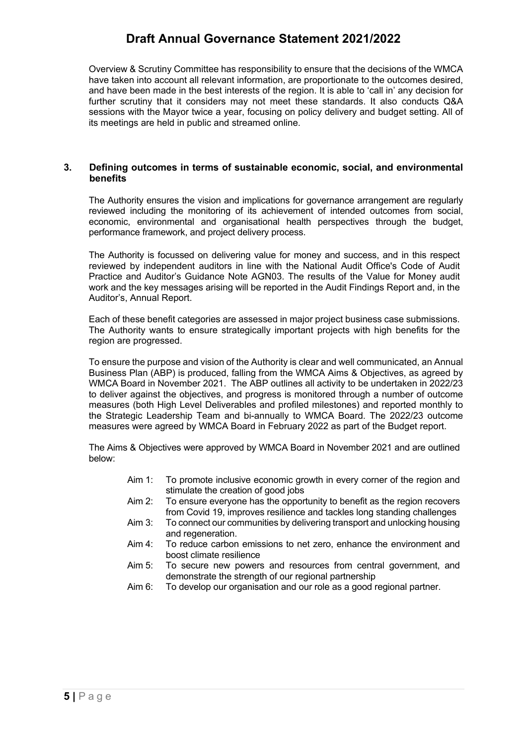Overview & Scrutiny Committee has responsibility to ensure that the decisions of the WMCA have taken into account all relevant information, are proportionate to the outcomes desired, and have been made in the best interests of the region. It is able to 'call in' any decision for further scrutiny that it considers may not meet these standards. It also conducts Q&A sessions with the Mayor twice a year, focusing on policy delivery and budget setting. All of its meetings are held in public and streamed online.

### **3. Defining outcomes in terms of sustainable economic, social, and environmental benefits**

The Authority ensures the vision and implications for governance arrangement are regularly reviewed including the monitoring of its achievement of intended outcomes from social, economic, environmental and organisational health perspectives through the budget, performance framework, and project delivery process.

The Authority is focussed on delivering value for money and success, and in this respect reviewed by independent auditors in line with the National Audit Office's Code of Audit Practice and Auditor's Guidance Note AGN03. The results of the Value for Money audit work and the key messages arising will be reported in the Audit Findings Report and, in the Auditor's, Annual Report.

Each of these benefit categories are assessed in major project business case submissions. The Authority wants to ensure strategically important projects with high benefits for the region are progressed.

To ensure the purpose and vision of the Authority is clear and well communicated, an Annual Business Plan (ABP) is produced, falling from the WMCA Aims & Objectives, as agreed by WMCA Board in November 2021. The ABP outlines all activity to be undertaken in 2022/23 to deliver against the objectives, and progress is monitored through a number of outcome measures (both High Level Deliverables and profiled milestones) and reported monthly to the Strategic Leadership Team and bi-annually to WMCA Board. The 2022/23 outcome measures were agreed by WMCA Board in February 2022 as part of the Budget report.

The Aims & Objectives were approved by WMCA Board in November 2021 and are outlined below:

- Aim 1: To promote inclusive economic growth in every corner of the region and stimulate the creation of good jobs
- Aim 2: To ensure everyone has the opportunity to benefit as the region recovers from Covid 19, improves resilience and tackles long standing challenges
- Aim 3: To connect our communities by delivering transport and unlocking housing and regeneration.
- Aim 4: To reduce carbon emissions to net zero, enhance the environment and boost climate resilience
- Aim 5: To secure new powers and resources from central government, and demonstrate the strength of our regional partnership
- Aim 6: To develop our organisation and our role as a good regional partner.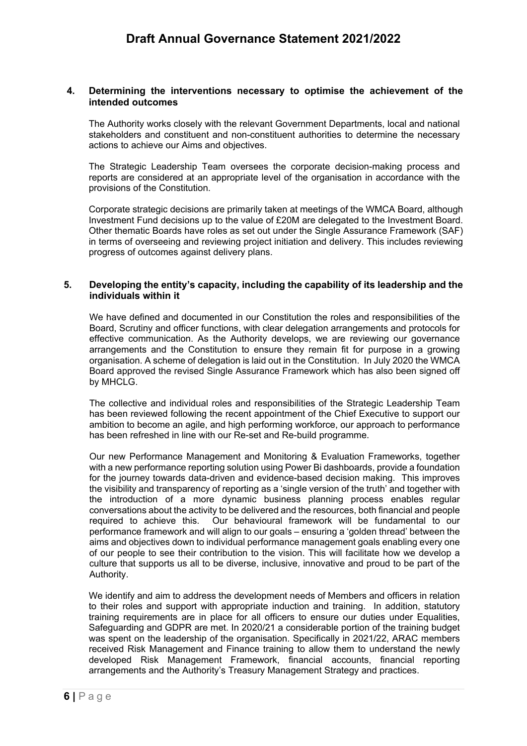### **4. Determining the interventions necessary to optimise the achievement of the intended outcomes**

The Authority works closely with the relevant Government Departments, local and national stakeholders and constituent and non-constituent authorities to determine the necessary actions to achieve our Aims and objectives.

The Strategic Leadership Team oversees the corporate decision-making process and reports are considered at an appropriate level of the organisation in accordance with the provisions of the Constitution.

Corporate strategic decisions are primarily taken at meetings of the WMCA Board, although Investment Fund decisions up to the value of £20M are delegated to the Investment Board. Other thematic Boards have roles as set out under the Single Assurance Framework (SAF) in terms of overseeing and reviewing project initiation and delivery. This includes reviewing progress of outcomes against delivery plans.

### **5. Developing the entity's capacity, including the capability of its leadership and the individuals within it**

We have defined and documented in our Constitution the roles and responsibilities of the Board, Scrutiny and officer functions, with clear delegation arrangements and protocols for effective communication. As the Authority develops, we are reviewing our governance arrangements and the Constitution to ensure they remain fit for purpose in a growing organisation. A scheme of delegation is laid out in the Constitution. In July 2020 the WMCA Board approved the revised Single Assurance Framework which has also been signed off by MHCLG.

The collective and individual roles and responsibilities of the Strategic Leadership Team has been reviewed following the recent appointment of the Chief Executive to support our ambition to become an agile, and high performing workforce, our approach to performance has been refreshed in line with our Re-set and Re-build programme.

Our new Performance Management and Monitoring & Evaluation Frameworks, together with a new performance reporting solution using Power Bi dashboards, provide a foundation for the journey towards data-driven and evidence-based decision making. This improves the visibility and transparency of reporting as a 'single version of the truth' and together with the introduction of a more dynamic business planning process enables regular conversations about the activity to be delivered and the resources, both financial and people required to achieve this. Our behavioural framework will be fundamental to our performance framework and will align to our goals – ensuring a 'golden thread' between the aims and objectives down to individual performance management goals enabling every one of our people to see their contribution to the vision. This will facilitate how we develop a culture that supports us all to be diverse, inclusive, innovative and proud to be part of the Authority.

We identify and aim to address the development needs of Members and officers in relation to their roles and support with appropriate induction and training. In addition, statutory training requirements are in place for all officers to ensure our duties under Equalities, Safeguarding and GDPR are met. In 2020/21 a considerable portion of the training budget was spent on the leadership of the organisation. Specifically in 2021/22, ARAC members received Risk Management and Finance training to allow them to understand the newly developed Risk Management Framework, financial accounts, financial reporting arrangements and the Authority's Treasury Management Strategy and practices.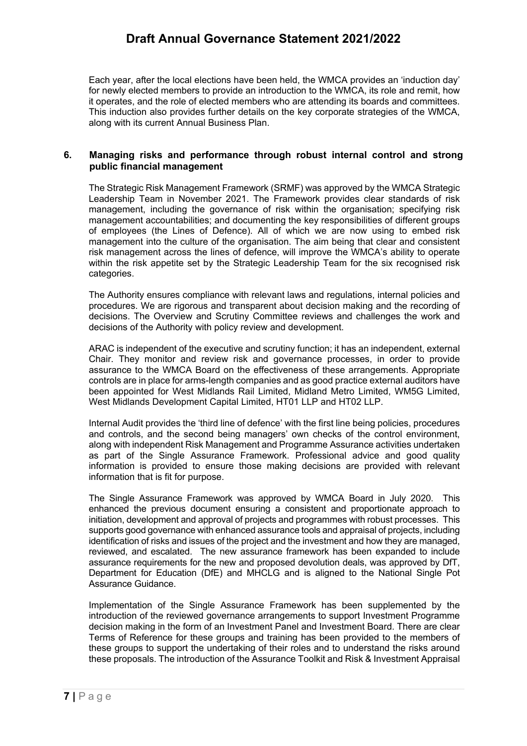Each year, after the local elections have been held, the WMCA provides an 'induction day' for newly elected members to provide an introduction to the WMCA, its role and remit, how it operates, and the role of elected members who are attending its boards and committees. This induction also provides further details on the key corporate strategies of the WMCA, along with its current Annual Business Plan.

#### **6. Managing risks and performance through robust internal control and strong public financial management**

The Strategic Risk Management Framework (SRMF) was approved by the WMCA Strategic Leadership Team in November 2021. The Framework provides clear standards of risk management, including the governance of risk within the organisation; specifying risk management accountabilities; and documenting the key responsibilities of different groups of employees (the Lines of Defence). All of which we are now using to embed risk management into the culture of the organisation. The aim being that clear and consistent risk management across the lines of defence, will improve the WMCA's ability to operate within the risk appetite set by the Strategic Leadership Team for the six recognised risk categories.

The Authority ensures compliance with relevant laws and regulations, internal policies and procedures. We are rigorous and transparent about decision making and the recording of decisions. The Overview and Scrutiny Committee reviews and challenges the work and decisions of the Authority with policy review and development.

ARAC is independent of the executive and scrutiny function; it has an independent, external Chair. They monitor and review risk and governance processes, in order to provide assurance to the WMCA Board on the effectiveness of these arrangements. Appropriate controls are in place for arms-length companies and as good practice external auditors have been appointed for West Midlands Rail Limited, Midland Metro Limited, WM5G Limited, West Midlands Development Capital Limited, HT01 LLP and HT02 LLP.

Internal Audit provides the 'third line of defence' with the first line being policies, procedures and controls, and the second being managers' own checks of the control environment, along with independent Risk Management and Programme Assurance activities undertaken as part of the Single Assurance Framework. Professional advice and good quality information is provided to ensure those making decisions are provided with relevant information that is fit for purpose.

The Single Assurance Framework was approved by WMCA Board in July 2020. This enhanced the previous document ensuring a consistent and proportionate approach to initiation, development and approval of projects and programmes with robust processes. This supports good governance with enhanced assurance tools and appraisal of projects, including identification of risks and issues of the project and the investment and how they are managed, reviewed, and escalated. The new assurance framework has been expanded to include assurance requirements for the new and proposed devolution deals, was approved by DfT, Department for Education (DfE) and MHCLG and is aligned to the National Single Pot Assurance Guidance.

Implementation of the Single Assurance Framework has been supplemented by the introduction of the reviewed governance arrangements to support Investment Programme decision making in the form of an Investment Panel and Investment Board. There are clear Terms of Reference for these groups and training has been provided to the members of these groups to support the undertaking of their roles and to understand the risks around these proposals. The introduction of the Assurance Toolkit and Risk & Investment Appraisal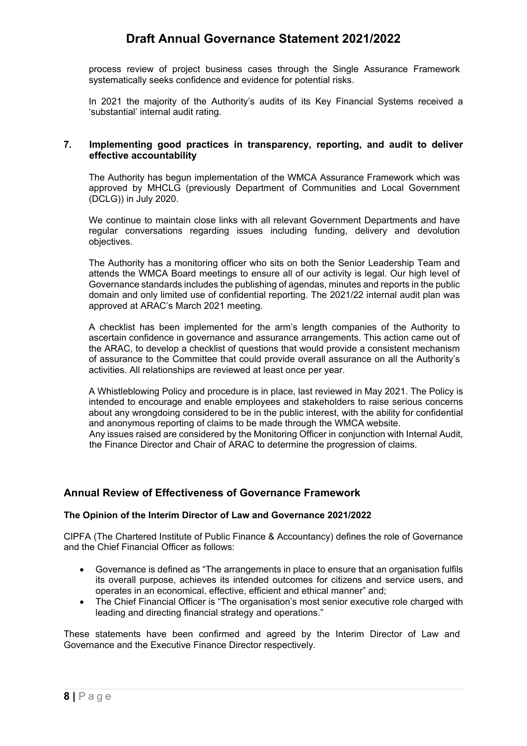process review of project business cases through the Single Assurance Framework systematically seeks confidence and evidence for potential risks.

In 2021 the majority of the Authority's audits of its Key Financial Systems received a 'substantial' internal audit rating.

#### **7. Implementing good practices in transparency, reporting, and audit to deliver effective accountability**

The Authority has begun implementation of the WMCA Assurance Framework which was approved by MHCLG (previously Department of Communities and Local Government (DCLG)) in July 2020.

We continue to maintain close links with all relevant Government Departments and have regular conversations regarding issues including funding, delivery and devolution objectives.

The Authority has a monitoring officer who sits on both the Senior Leadership Team and attends the WMCA Board meetings to ensure all of our activity is legal. Our high level of Governance standards includes the publishing of agendas, minutes and reports in the public domain and only limited use of confidential reporting. The 2021/22 internal audit plan was approved at ARAC's March 2021 meeting.

A checklist has been implemented for the arm's length companies of the Authority to ascertain confidence in governance and assurance arrangements. This action came out of the ARAC, to develop a checklist of questions that would provide a consistent mechanism of assurance to the Committee that could provide overall assurance on all the Authority's activities. All relationships are reviewed at least once per year.

A Whistleblowing Policy and procedure is in place, last reviewed in May 2021. The Policy is intended to encourage and enable employees and stakeholders to raise serious concerns about any wrongdoing considered to be in the public interest, with the ability for confidential and anonymous reporting of claims to be made through the WMCA website.

Any issues raised are considered by the Monitoring Officer in conjunction with Internal Audit, the Finance Director and Chair of ARAC to determine the progression of claims.

## **Annual Review of Effectiveness of Governance Framework**

#### **The Opinion of the Interim Director of Law and Governance 2021/2022**

CIPFA (The Chartered Institute of Public Finance & Accountancy) defines the role of Governance and the Chief Financial Officer as follows:

- Governance is defined as "The arrangements in place to ensure that an organisation fulfils its overall purpose, achieves its intended outcomes for citizens and service users, and operates in an economical, effective, efficient and ethical manner" and;
- The Chief Financial Officer is "The organisation's most senior executive role charged with leading and directing financial strategy and operations."

These statements have been confirmed and agreed by the Interim Director of Law and Governance and the Executive Finance Director respectively.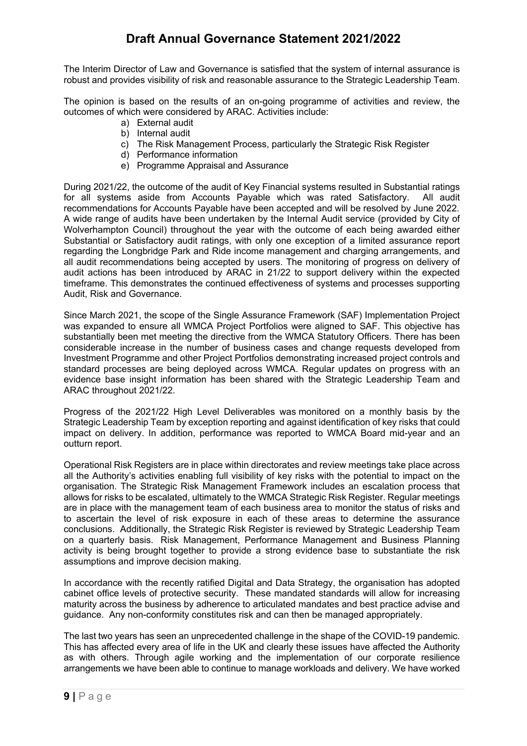The Interim Director of Law and Governance is satisfied that the system of internal assurance is robust and provides visibility of risk and reasonable assurance to the Strategic Leadership Team.

The opinion is based on the results of an on-going programme of activities and review, the outcomes of which were considered by ARAC. Activities include:

- a) External audit
- b) Internal audit
- c) The Risk Management Process, particularly the Strategic Risk Register
- d) Performance information
- e) Programme Appraisal and Assurance

During 2021/22, the outcome of the audit of Key Financial systems resulted in Substantial ratings for all systems aside from Accounts Payable which was rated Satisfactory. All audit recommendations for Accounts Payable have been accepted and will be resolved by June 2022. A wide range of audits have been undertaken by the Internal Audit service (provided by City of Wolverhampton Council) throughout the year with the outcome of each being awarded either Substantial or Satisfactory audit ratings, with only one exception of a limited assurance report regarding the Longbridge Park and Ride income management and charging arrangements, and all audit recommendations being accepted by users. The monitoring of progress on delivery of audit actions has been introduced by ARAC in 21/22 to support delivery within the expected timeframe. This demonstrates the continued effectiveness of systems and processes supporting Audit, Risk and Governance.

Since March 2021, the scope of the Single Assurance Framework (SAF) Implementation Project was expanded to ensure all WMCA Project Portfolios were aligned to SAF. This objective has substantially been met meeting the directive from the WMCA Statutory Officers. There has been considerable increase in the number of business cases and change requests developed from Investment Programme and other Project Portfolios demonstrating increased project controls and standard processes are being deployed across WMCA. Regular updates on progress with an evidence base insight information has been shared with the Strategic Leadership Team and ARAC throughout 2021/22.

Progress of the 2021/22 High Level Deliverables was monitored on a monthly basis by the Strategic Leadership Team by exception reporting and against identification of key risks that could impact on delivery. In addition, performance was reported to WMCA Board mid-year and an outturn report.

Operational Risk Registers are in place within directorates and review meetings take place across all the Authority's activities enabling full visibility of key risks with the potential to impact on the organisation. The Strategic Risk Management Framework includes an escalation process that allows for risks to be escalated, ultimately to the WMCA Strategic Risk Register. Regular meetings are in place with the management team of each business area to monitor the status of risks and to ascertain the level of risk exposure in each of these areas to determine the assurance conclusions. Additionally, the Strategic Risk Register is reviewed by Strategic Leadership Team on a quarterly basis. Risk Management, Performance Management and Business Planning activity is being brought together to provide a strong evidence base to substantiate the risk assumptions and improve decision making.

In accordance with the recently ratified Digital and Data Strategy, the organisation has adopted cabinet office levels of protective security. These mandated standards will allow for increasing maturity across the business by adherence to articulated mandates and best practice advise and guidance. Any non-conformity constitutes risk and can then be managed appropriately.

The last two years has seen an unprecedented challenge in the shape of the COVID-19 pandemic. This has affected every area of life in the UK and clearly these issues have affected the Authority as with others. Through agile working and the implementation of our corporate resilience arrangements we have been able to continue to manage workloads and delivery. We have worked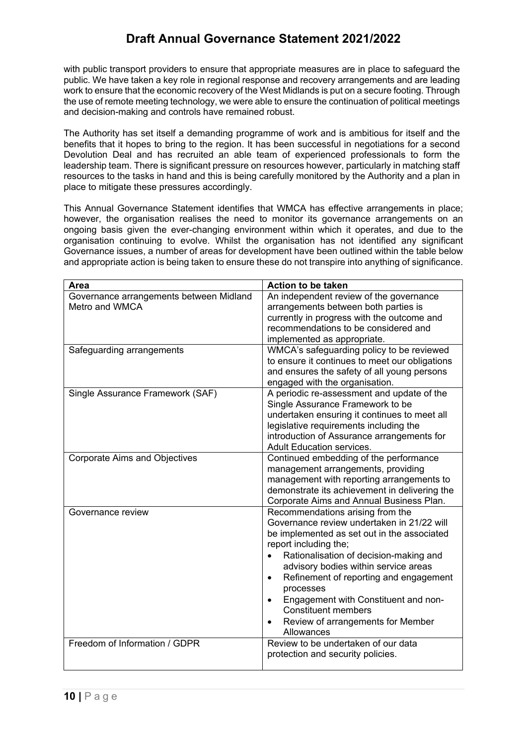with public transport providers to ensure that appropriate measures are in place to safeguard the public. We have taken a key role in regional response and recovery arrangements and are leading work to ensure that the economic recovery of the West Midlands is put on a secure footing. Through the use of remote meeting technology, we were able to ensure the continuation of political meetings and decision-making and controls have remained robust.

The Authority has set itself a demanding programme of work and is ambitious for itself and the benefits that it hopes to bring to the region. It has been successful in negotiations for a second Devolution Deal and has recruited an able team of experienced professionals to form the leadership team. There is significant pressure on resources however, particularly in matching staff resources to the tasks in hand and this is being carefully monitored by the Authority and a plan in place to mitigate these pressures accordingly.

This Annual Governance Statement identifies that WMCA has effective arrangements in place; however, the organisation realises the need to monitor its governance arrangements on an ongoing basis given the ever-changing environment within which it operates, and due to the organisation continuing to evolve. Whilst the organisation has not identified any significant Governance issues, a number of areas for development have been outlined within the table below and appropriate action is being taken to ensure these do not transpire into anything of significance.

| Area                                                      | <b>Action to be taken</b>                                                                                                                                                                                                                                                                                                                                                                                                                          |
|-----------------------------------------------------------|----------------------------------------------------------------------------------------------------------------------------------------------------------------------------------------------------------------------------------------------------------------------------------------------------------------------------------------------------------------------------------------------------------------------------------------------------|
| Governance arrangements between Midland<br>Metro and WMCA | An independent review of the governance<br>arrangements between both parties is<br>currently in progress with the outcome and<br>recommendations to be considered and<br>implemented as appropriate.                                                                                                                                                                                                                                               |
| Safeguarding arrangements                                 | WMCA's safeguarding policy to be reviewed<br>to ensure it continues to meet our obligations<br>and ensures the safety of all young persons<br>engaged with the organisation.                                                                                                                                                                                                                                                                       |
| Single Assurance Framework (SAF)                          | A periodic re-assessment and update of the<br>Single Assurance Framework to be<br>undertaken ensuring it continues to meet all<br>legislative requirements including the<br>introduction of Assurance arrangements for<br><b>Adult Education services.</b>                                                                                                                                                                                         |
| <b>Corporate Aims and Objectives</b>                      | Continued embedding of the performance<br>management arrangements, providing<br>management with reporting arrangements to<br>demonstrate its achievement in delivering the<br>Corporate Aims and Annual Business Plan.                                                                                                                                                                                                                             |
| Governance review                                         | Recommendations arising from the<br>Governance review undertaken in 21/22 will<br>be implemented as set out in the associated<br>report including the;<br>Rationalisation of decision-making and<br>advisory bodies within service areas<br>Refinement of reporting and engagement<br>$\bullet$<br>processes<br>Engagement with Constituent and non-<br>$\bullet$<br><b>Constituent members</b><br>Review of arrangements for Member<br>Allowances |
| Freedom of Information / GDPR                             | Review to be undertaken of our data<br>protection and security policies.                                                                                                                                                                                                                                                                                                                                                                           |